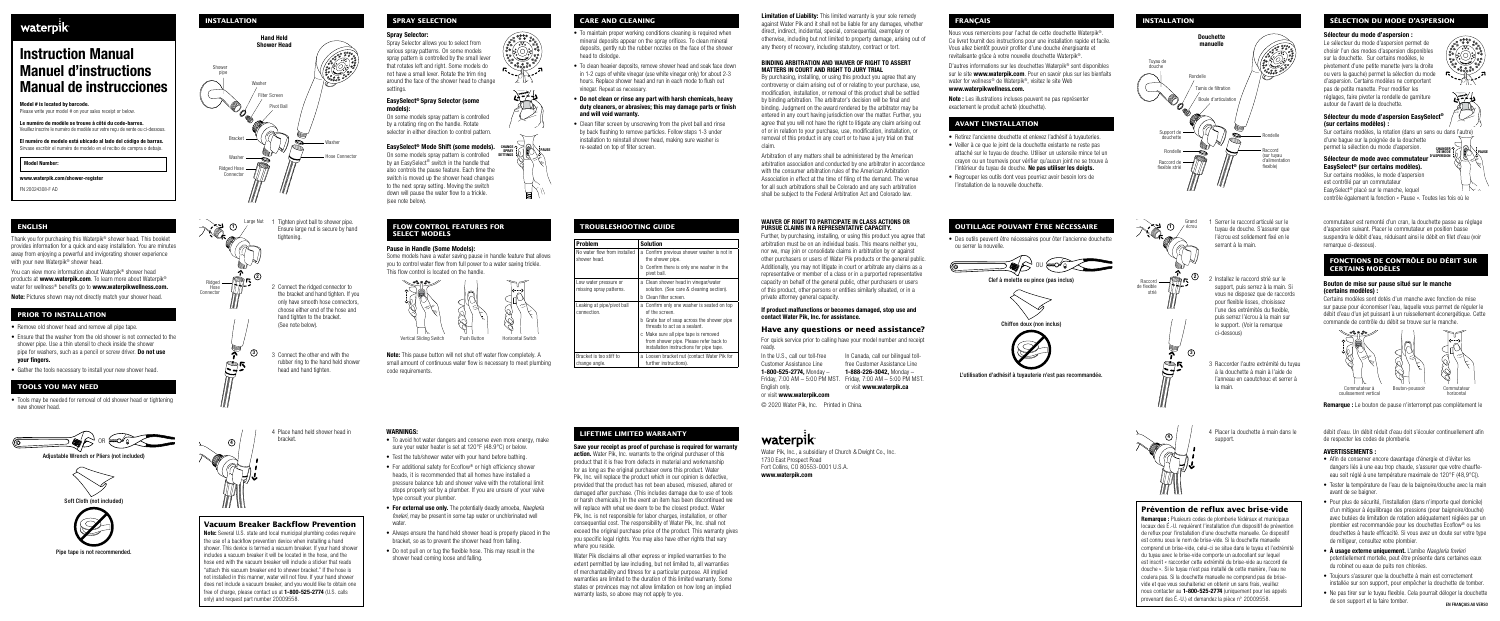- 
- 
- 

eventure in the marque of tightening and or tightening the shower head or tightening and or tightening the shower head or tightening and or tightening and or tightening and or tightening and or tightening and or tightening







Large Nut 1 Tighten pivot ball to shower pipe. WAIVER OF RIGHT TO PARTICIPATE IN CLASS ACTIONS OR Grand 1 Serrer le raccord articulé sur le commutateur est remonté d'un cran, la douchette passe au réglage **ENGLISH** 1 **FLOW CONTROL FEATURES FOR TROUBLESHOOTING GUIDE OUTILLAGE POUVANT ÊTRE NÉCESSAIRE** 1 écrou Ensure large nut is secure by hand PURSUE CLAIMS IN A REPRESENTATIVE CAPACITY. tuyau de douche. S'assurer que d'aspersion suivant. Placer le commutateur en position basse **SELECT MODELS** tightening. Further, by purchasing, installing, or using this product you agree that l'écrou est solidement fixé en le suspendra le débit d'eau, réduisant ainsi le débit en filet d'eau (voir Thank you for purchasing this Waterpik® shower head. This booklet • Des outils peuvent être nécessaires pour ôter l'ancienne douchette Problem Solution arbitration must be on an individual basis. This means neither you, serrant à la main. remarque ci-dessous). provides information for a quick and easy installation. You are minutes ou serrer la nouvelle. Pause in Handle (Some Models): No water flow from installed a Confirm previous shower washer is not in nor we, may join or consolidate claims in arbitration by or against away from enjoying a powerful and invigorating shower experience Some models have a water saving pause in handle feature that allows shower head. the shower pipe. other purchasers or users of Water Pik products or the general public. with your new Waterpik **FONCTIONS DE CONTRÔLE DU DÉBIT SUR** ® shower head. you to control water flow from full power to a water saving trickle. Additionally, you may not litigate in court or arbitrate any claims as a OU b Confirm there is only one washer in the **CERTAINS MODÈLES** You can view more information about Waterpik® shower head This flow control is located on the handle. pivot ball. representative or member of a class or in a purported representative products at www.waterpik.com. To learn more about Waterpik® representative or member of a class or in a purported representative<br>in vinegar/water capacity on behalf of the general public, other purchasers or users **Clef à molette ou pince (pas inclus)** Raccord de flexible<br>Releaning

- 
- 
- 













- 
- 
- 
- 
- 
- 



shower. This device is termed a vacuum breaker. If your hand shower the bose, and the bose and the bose and the shower head coming lones and falling where you reside. Water Pik disclaims all other express or implied warran Nous avacuative much the security of the nuclear and the states in the security of the security of the security of the security of the security of the security of the properties of the security of the security of the pro



aternik



- bracket. **•** To avoid hot water dangers and conserve even more energy, make
	-
	-
	-
	-
	-

- 
- 
- 
- 

- 
- 

**SPRAY SELECTION**<br>
SPRAY SELECTION NINSTALLATION CARE AND CLEANING against Water Pik and it shall not be liable for any damages, whether **FRANÇAIS FRANÇAIS** INSTALLATION SÉLECTION DU MODE D'ASPERSION

around the face of the shower head to change that any hours. Replace shower head and run in each mode to flush out water of the shower sy or daim arising out of or relating to your purchase, use, water for wellness® de Wat

| Thank you for purchasing this Waterpik $\degree$ shower head. This booklet                                                                                            |                               | ugnuonnig.                                                                |                                                                                                                                                                                            |                                           |                                                                                                                                                                     | r artnor, by paronaoing, motaling, or doing this product you agroo that                                                                                                                                                                                                                           | • Des outils peuvent etre necessaires pour oter l'ancienne douchette | $\sim$         | <u>Lening est soligenient inte en le</u>                                | Susperiura le uebit à cau, requisant ainsi le uebit en niet à cau (voir                                                         |
|-----------------------------------------------------------------------------------------------------------------------------------------------------------------------|-------------------------------|---------------------------------------------------------------------------|--------------------------------------------------------------------------------------------------------------------------------------------------------------------------------------------|-------------------------------------------|---------------------------------------------------------------------------------------------------------------------------------------------------------------------|---------------------------------------------------------------------------------------------------------------------------------------------------------------------------------------------------------------------------------------------------------------------------------------------------|----------------------------------------------------------------------|----------------|-------------------------------------------------------------------------|---------------------------------------------------------------------------------------------------------------------------------|
| provides information for a quick and easv installation. You are minutes                                                                                               |                               |                                                                           | Pause in Handle (Some Models):                                                                                                                                                             |                                           | Solution                                                                                                                                                            | arbitration must be on an individual basis. This means neither you,                                                                                                                                                                                                                               | ou serrer la nouvelle.                                               |                | serrant à la main.                                                      | remarque ci-dessous).                                                                                                           |
| away from enjoying a powerful and invigorating shower experience<br>with your new Waterpik® shower head.<br>You can view more information about Waterpik® shower head |                               |                                                                           | Some models have a water saving pause in handle feature that allows<br>you to control water flow from full power to a water saving trickle.<br>This flow control is located on the handle. |                                           | No water flow from installed $\parallel$ a Confirm previous shower washer is not in<br>the shower pipe.<br>b Confirm there is only one washer in the<br>pivot ball. | nor we, may join or consolidate claims in arbitration by or against<br>other purchasers or users of Water Pik products or the general public.<br>Additionally, you may not litigate in court or arbitrate any claims as a<br>representative or member of a class or in a purported representative | $\bigotimes$ ou $\bigotimes$                                         |                |                                                                         | <b>FONCTIONS DE CONTRÔLE DU DÉBIT SUR</b><br><b>CERTAINS MODÈLES</b>                                                            |
| oducts at <b>www.waterpik.com</b> . To learn more about Waterpik®                                                                                                     | $\frac{R \cdot 1}{R \cdot 1}$ |                                                                           | ౼౷ౚ౹ౚ                                                                                                                                                                                      | Low water pressure or                     | a Clean shower head in vinegar/water                                                                                                                                | capacity on behalf of the general public, other purchasers or users                                                                                                                                                                                                                               | Clef à molette ou pince (pas inclus)                                 | ⊼ ≋<br>Raccord | 2 Installez le raccord strié sur le                                     | Bouton de mise sur pause situé sur le manche                                                                                    |
| water for wellness® benefits go to www.waterpikwellness.com.                                                                                                          | Connecto                      | 2 Connect the ridged connector to<br>the bracket and hand tighten. If you |                                                                                                                                                                                            | nissing spray patterns.                   | solution. (See care & cleaning section).                                                                                                                            | of this product, other persons or entities similarly situated, or in a                                                                                                                                                                                                                            |                                                                      | de flexible    | support, puis serrez à la main. S.<br>vous ne disposez que de raccords  | (certains modèles) :                                                                                                            |
| Note: Pictures shown may not directly match your shower head.                                                                                                         |                               | only have smooth hose connectors,                                         |                                                                                                                                                                                            |                                           | b Clean filter screen.                                                                                                                                              | private attorney general capacity.                                                                                                                                                                                                                                                                |                                                                      |                | pour flexible lisses, choisissez                                        | Certains modèles sont dotés d'un manche avec fonction de mise                                                                   |
| PRIOR TO INSTALLATION                                                                                                                                                 |                               | choose either end of the hose and                                         |                                                                                                                                                                                            | Leaking at pipe/pivot ball<br>connection. | a Confirm only one washer is seated on to<br>of the screen.                                                                                                         | If product malfunctions or becomes damaged, stop use and                                                                                                                                                                                                                                          |                                                                      |                | l'une des extrémités du flexible,                                       | sur pause pour économiser l'eau, laquelle vous permet de réguler le                                                             |
|                                                                                                                                                                       |                               | hand tighten to the bracket.                                              |                                                                                                                                                                                            |                                           | b Grate bar of soap across the shower pipe                                                                                                                          | contact Water Pik, Inc. for assistance.                                                                                                                                                                                                                                                           | Chiffon doux (non inclus)                                            |                | puis serrez l'écrou à la main sur                                       | débit d'eau d'un jet puissant à un ruissellement éconergétique. Cette<br>commande de contrôle du débit se trouve sur le manche. |
| • Remove old shower head and remove all pipe tape.                                                                                                                    |                               | (See note below).                                                         |                                                                                                                                                                                            |                                           | threads to act as a sealant.                                                                                                                                        | Have any questions or need assistance?                                                                                                                                                                                                                                                            |                                                                      |                | le support. (Voir la remarque<br>ci-dessous)                            | ಿಕಿಂ                                                                                                                            |
| • Ensure that the washer from the old shower is not connected to the                                                                                                  |                               |                                                                           | Push Button<br><b>Horizontal Switch</b><br>Vertical Sliding Switch                                                                                                                         |                                           | c Make sure all pipe tape is removed<br>from shower pipe. Please refer back to                                                                                      | For quick service prior to calling have your model number and receipt                                                                                                                                                                                                                             |                                                                      |                |                                                                         |                                                                                                                                 |
| shower pipe. Use a thin utensil to check inside the shower<br>pipe for washers, such as a pencil or screw driver. <b>Do not use</b>                                   |                               |                                                                           |                                                                                                                                                                                            |                                           | installation instructions for pipe tape.                                                                                                                            |                                                                                                                                                                                                                                                                                                   |                                                                      |                |                                                                         |                                                                                                                                 |
| vour fingers.                                                                                                                                                         |                               | 3 Connect the other end with the                                          | <b>Note:</b> This pause button will not shut off water flow completely. A                                                                                                                  | Bracket is too stiff to                   | a Loosen bracket nut (contact Water Pik for                                                                                                                         | In the U.S., call our toll-free<br>In Canada, call our bilingual toll-                                                                                                                                                                                                                            |                                                                      |                |                                                                         |                                                                                                                                 |
| • Gather the tools necessary to install your new shower head.                                                                                                         | ∽-∽                           | rubber ring to the hand held shower<br>head and hand tighten.             | small amount of continuous water flow is necessary to meet plumbing<br>code requirements.                                                                                                  | change angle.                             | further instructions).                                                                                                                                              | free Customer Assistance Line<br>Customer Assistance Lir                                                                                                                                                                                                                                          |                                                                      |                | 3 Raccorder l'autre extrémité du tuyau                                  |                                                                                                                                 |
|                                                                                                                                                                       |                               |                                                                           |                                                                                                                                                                                            |                                           |                                                                                                                                                                     | 1-888-226-3042, Monday -<br>1-800-525-2774, Monda<br>Friday, 7:00 AM - 5:00 PM MST. Friday, 7:00 AM - 5:00 PM MST.                                                                                                                                                                                | L'utilisation d'adhésif à tuvauterie n'est pas recommandée.          |                | à la douchette à main à l'aide de<br>l'anneau en caoutchouc et serrer à |                                                                                                                                 |

sure your water heater is set at 120 $\degree$ F (48.9 $\degree$ C) or below. Save your receipt as proof of purchase is required for warranty<br>Save your fact the tub (shows water with your bord before betting Adjustable Wrench or Piers (not included)<br>
and the constraints are all the constraints and the constraints and the constraints and the constraints are all the constraints and the constraints are all the constraints and the **Prévention de reflux avec brise-vide** d'un mitigeur à équilibrage des pressions (pour baignoire/douche) four baignoire/douche) four baignoire/douche four baignoire/douche four baignoire/douche four baignoire/douche four b Consequential cost. The responsibility of Water Pik, Inc., shall not<br>Incaux des É.-U. requièrent l'installation d'un dispositif de prévention plombier est recommandée pour les douchettes Ecoflow® ou les enced the original purchase price of the product. This warranty gives a haute efficacite. Si vous avez un doute sur votre type and because the worker annually and the development of the product. This warranty gives a haute





and theld shower head in and the dampers and conserve even more energy, make the conserve even more energy, make<br>
To avoid hot water dangers and conserve even more energy, make the conserve even more energy, make the conse